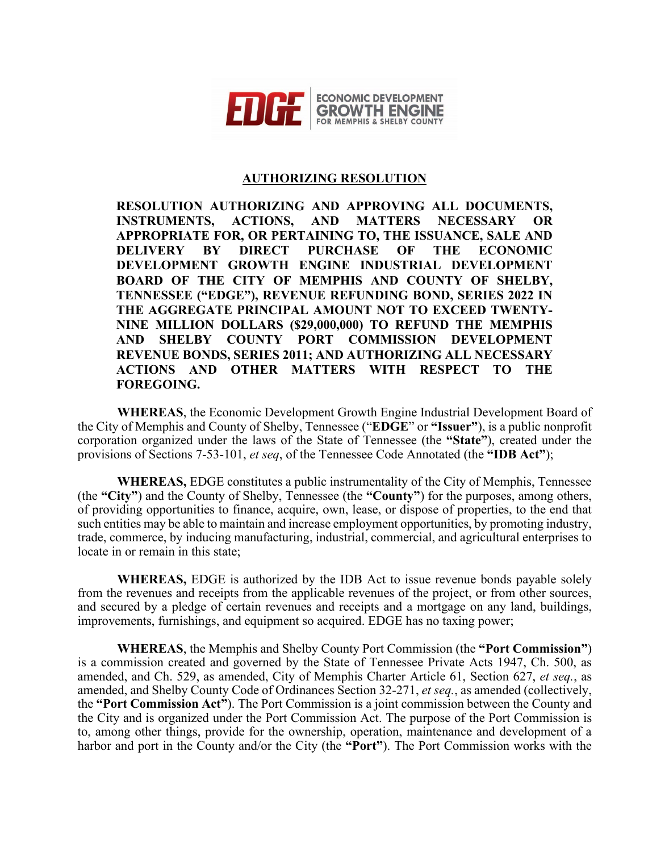

## **AUTHORIZING RESOLUTION**

**RESOLUTION AUTHORIZING AND APPROVING ALL DOCUMENTS, INSTRUMENTS, ACTIONS, AND MATTERS NECESSARY OR APPROPRIATE FOR, OR PERTAINING TO, THE ISSUANCE, SALE AND DELIVERY BY DIRECT PURCHASE OF THE ECONOMIC DEVELOPMENT GROWTH ENGINE INDUSTRIAL DEVELOPMENT BOARD OF THE CITY OF MEMPHIS AND COUNTY OF SHELBY, TENNESSEE ("EDGE"), REVENUE REFUNDING BOND, SERIES 2022 IN THE AGGREGATE PRINCIPAL AMOUNT NOT TO EXCEED TWENTY-NINE MILLION DOLLARS (\$29,000,000) TO REFUND THE MEMPHIS AND SHELBY COUNTY PORT COMMISSION DEVELOPMENT REVENUE BONDS, SERIES 2011; AND AUTHORIZING ALL NECESSARY ACTIONS AND OTHER MATTERS WITH RESPECT TO THE FOREGOING.** 

**WHEREAS**, the Economic Development Growth Engine Industrial Development Board of the City of Memphis and County of Shelby, Tennessee ("**EDGE**" or **"Issuer"**), is a public nonprofit corporation organized under the laws of the State of Tennessee (the **"State"**), created under the provisions of Sections 7-53-101, *et seq*, of the Tennessee Code Annotated (the **"IDB Act"**);

**WHEREAS,** EDGE constitutes a public instrumentality of the City of Memphis, Tennessee (the **"City"**) and the County of Shelby, Tennessee (the **"County"**) for the purposes, among others, of providing opportunities to finance, acquire, own, lease, or dispose of properties, to the end that such entities may be able to maintain and increase employment opportunities, by promoting industry, trade, commerce, by inducing manufacturing, industrial, commercial, and agricultural enterprises to locate in or remain in this state;

**WHEREAS,** EDGE is authorized by the IDB Act to issue revenue bonds payable solely from the revenues and receipts from the applicable revenues of the project, or from other sources, and secured by a pledge of certain revenues and receipts and a mortgage on any land, buildings, improvements, furnishings, and equipment so acquired. EDGE has no taxing power;

**WHEREAS**, the Memphis and Shelby County Port Commission (the **"Port Commission"**) is a commission created and governed by the State of Tennessee Private Acts 1947, Ch. 500, as amended, and Ch. 529, as amended, City of Memphis Charter Article 61, Section 627, *et seq.*, as amended, and Shelby County Code of Ordinances Section 32-271, *et seq.*, as amended (collectively, the **"Port Commission Act"**). The Port Commission is a joint commission between the County and the City and is organized under the Port Commission Act. The purpose of the Port Commission is to, among other things, provide for the ownership, operation, maintenance and development of a harbor and port in the County and/or the City (the **"Port"**). The Port Commission works with the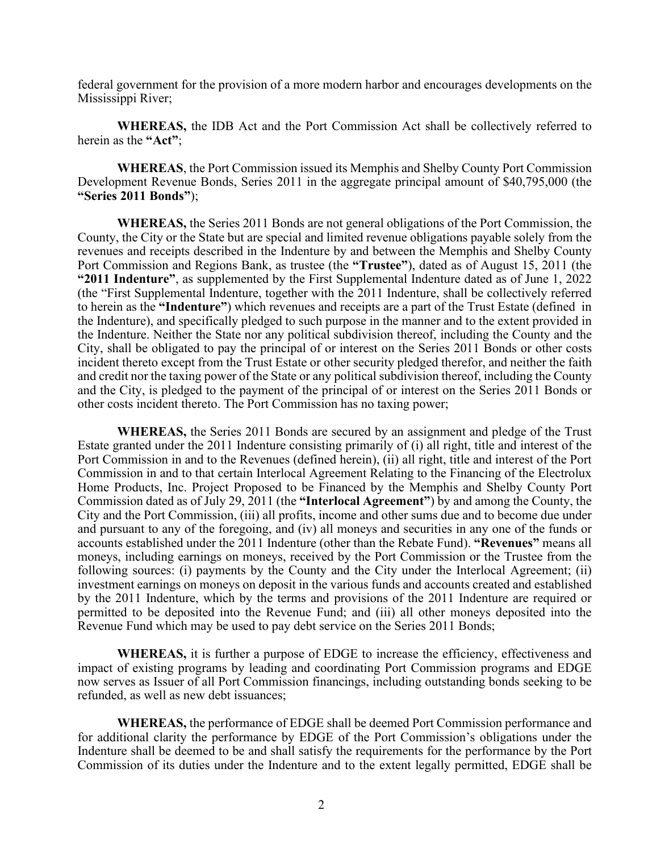federal government for the provision of a more modern harbor and encourages developments on the Mississippi River;

**WHEREAS,** the IDB Act and the Port Commission Act shall be collectively referred to herein as the **"Act"**;

**WHEREAS**, the Port Commission issued its Memphis and Shelby County Port Commission Development Revenue Bonds, Series 2011 in the aggregate principal amount of \$40,795,000 (the **"Series 2011 Bonds"**);

**WHEREAS,** the Series 2011 Bonds are not general obligations of the Port Commission, the County, the City or the State but are special and limited revenue obligations payable solely from the revenues and receipts described in the Indenture by and between the Memphis and Shelby County Port Commission and Regions Bank, as trustee (the **"Trustee"**), dated as of August 15, 2011 (the **"2011 Indenture"**, as supplemented by the First Supplemental Indenture dated as of June 1, 2022 (the "First Supplemental Indenture, together with the 2011 Indenture, shall be collectively referred to herein as the **"Indenture"**) which revenues and receipts are a part of the Trust Estate (defined in the Indenture), and specifically pledged to such purpose in the manner and to the extent provided in the Indenture. Neither the State nor any political subdivision thereof, including the County and the City, shall be obligated to pay the principal of or interest on the Series 2011 Bonds or other costs incident thereto except from the Trust Estate or other security pledged therefor, and neither the faith and credit nor the taxing power of the State or any political subdivision thereof, including the County and the City, is pledged to the payment of the principal of or interest on the Series 2011 Bonds or other costs incident thereto. The Port Commission has no taxing power;

**WHEREAS,** the Series 2011 Bonds are secured by an assignment and pledge of the Trust Estate granted under the 2011 Indenture consisting primarily of (i) all right, title and interest of the Port Commission in and to the Revenues (defined herein), (ii) all right, title and interest of the Port Commission in and to that certain Interlocal Agreement Relating to the Financing of the Electrolux Home Products, Inc. Project Proposed to be Financed by the Memphis and Shelby County Port Commission dated as of July 29, 2011 (the **"Interlocal Agreement"**) by and among the County, the City and the Port Commission, (iii) all profits, income and other sums due and to become due under and pursuant to any of the foregoing, and (iv) all moneys and securities in any one of the funds or accounts established under the 2011 Indenture (other than the Rebate Fund). **"Revenues"** means all moneys, including earnings on moneys, received by the Port Commission or the Trustee from the following sources: (i) payments by the County and the City under the Interlocal Agreement; (ii) investment earnings on moneys on deposit in the various funds and accounts created and established by the 2011 Indenture, which by the terms and provisions of the 2011 Indenture are required or permitted to be deposited into the Revenue Fund; and (iii) all other moneys deposited into the Revenue Fund which may be used to pay debt service on the Series 2011 Bonds;

**WHEREAS,** it is further a purpose of EDGE to increase the efficiency, effectiveness and impact of existing programs by leading and coordinating Port Commission programs and EDGE now serves as Issuer of all Port Commission financings, including outstanding bonds seeking to be refunded, as well as new debt issuances;

**WHEREAS,** the performance of EDGE shall be deemed Port Commission performance and for additional clarity the performance by EDGE of the Port Commission's obligations under the Indenture shall be deemed to be and shall satisfy the requirements for the performance by the Port Commission of its duties under the Indenture and to the extent legally permitted, EDGE shall be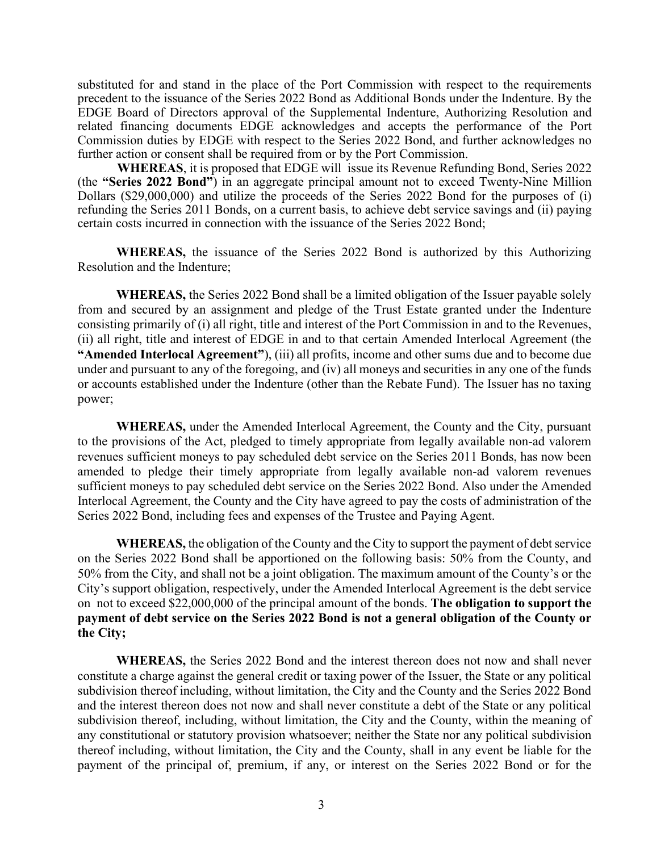substituted for and stand in the place of the Port Commission with respect to the requirements precedent to the issuance of the Series 2022 Bond as Additional Bonds under the Indenture. By the EDGE Board of Directors approval of the Supplemental Indenture, Authorizing Resolution and related financing documents EDGE acknowledges and accepts the performance of the Port Commission duties by EDGE with respect to the Series 2022 Bond, and further acknowledges no further action or consent shall be required from or by the Port Commission.

**WHEREAS**, it is proposed that EDGE will issue its Revenue Refunding Bond, Series 2022 (the **"Series 2022 Bond"**) in an aggregate principal amount not to exceed Twenty-Nine Million Dollars (\$29,000,000) and utilize the proceeds of the Series 2022 Bond for the purposes of (i) refunding the Series 2011 Bonds, on a current basis, to achieve debt service savings and (ii) paying certain costs incurred in connection with the issuance of the Series 2022 Bond;

**WHEREAS,** the issuance of the Series 2022 Bond is authorized by this Authorizing Resolution and the Indenture;

**WHEREAS,** the Series 2022 Bond shall be a limited obligation of the Issuer payable solely from and secured by an assignment and pledge of the Trust Estate granted under the Indenture consisting primarily of (i) all right, title and interest of the Port Commission in and to the Revenues, (ii) all right, title and interest of EDGE in and to that certain Amended Interlocal Agreement (the **"Amended Interlocal Agreement"**), (iii) all profits, income and other sums due and to become due under and pursuant to any of the foregoing, and (iv) all moneys and securities in any one of the funds or accounts established under the Indenture (other than the Rebate Fund). The Issuer has no taxing power;

**WHEREAS,** under the Amended Interlocal Agreement, the County and the City, pursuant to the provisions of the Act, pledged to timely appropriate from legally available non-ad valorem revenues sufficient moneys to pay scheduled debt service on the Series 2011 Bonds, has now been amended to pledge their timely appropriate from legally available non-ad valorem revenues sufficient moneys to pay scheduled debt service on the Series 2022 Bond. Also under the Amended Interlocal Agreement, the County and the City have agreed to pay the costs of administration of the Series 2022 Bond, including fees and expenses of the Trustee and Paying Agent.

**WHEREAS,** the obligation of the County and the City to support the payment of debt service on the Series 2022 Bond shall be apportioned on the following basis: 50% from the County, and 50% from the City, and shall not be a joint obligation. The maximum amount of the County's or the City's support obligation, respectively, under the Amended Interlocal Agreement is the debt service on not to exceed \$22,000,000 of the principal amount of the bonds. **The obligation to support the payment of debt service on the Series 2022 Bond is not a general obligation of the County or the City;**

**WHEREAS,** the Series 2022 Bond and the interest thereon does not now and shall never constitute a charge against the general credit or taxing power of the Issuer, the State or any political subdivision thereof including, without limitation, the City and the County and the Series 2022 Bond and the interest thereon does not now and shall never constitute a debt of the State or any political subdivision thereof, including, without limitation, the City and the County, within the meaning of any constitutional or statutory provision whatsoever; neither the State nor any political subdivision thereof including, without limitation, the City and the County, shall in any event be liable for the payment of the principal of, premium, if any, or interest on the Series 2022 Bond or for the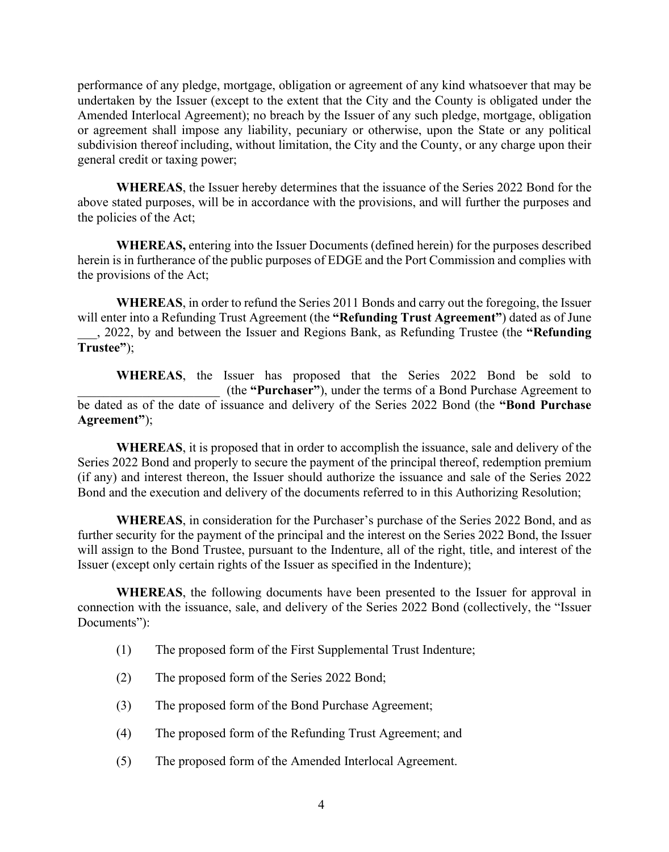performance of any pledge, mortgage, obligation or agreement of any kind whatsoever that may be undertaken by the Issuer (except to the extent that the City and the County is obligated under the Amended Interlocal Agreement); no breach by the Issuer of any such pledge, mortgage, obligation or agreement shall impose any liability, pecuniary or otherwise, upon the State or any political subdivision thereof including, without limitation, the City and the County, or any charge upon their general credit or taxing power;

**WHEREAS**, the Issuer hereby determines that the issuance of the Series 2022 Bond for the above stated purposes, will be in accordance with the provisions, and will further the purposes and the policies of the Act;

**WHEREAS,** entering into the Issuer Documents (defined herein) for the purposes described herein is in furtherance of the public purposes of EDGE and the Port Commission and complies with the provisions of the Act;

**WHEREAS**, in order to refund the Series 2011 Bonds and carry out the foregoing, the Issuer will enter into a Refunding Trust Agreement (the **"Refunding Trust Agreement"**) dated as of June

\_\_\_, 2022, by and between the Issuer and Regions Bank, as Refunding Trustee (the **"Refunding Trustee"**);

**WHEREAS**, the Issuer has proposed that the Series 2022 Bond be sold to \_\_\_\_\_\_\_\_\_\_\_\_\_\_\_\_\_\_\_\_\_\_ (the **"Purchaser"**), under the terms of a Bond Purchase Agreement to be dated as of the date of issuance and delivery of the Series 2022 Bond (the **"Bond Purchase Agreement"**);

**WHEREAS**, it is proposed that in order to accomplish the issuance, sale and delivery of the Series 2022 Bond and properly to secure the payment of the principal thereof, redemption premium (if any) and interest thereon, the Issuer should authorize the issuance and sale of the Series 2022 Bond and the execution and delivery of the documents referred to in this Authorizing Resolution;

**WHEREAS**, in consideration for the Purchaser's purchase of the Series 2022 Bond, and as further security for the payment of the principal and the interest on the Series 2022 Bond, the Issuer will assign to the Bond Trustee, pursuant to the Indenture, all of the right, title, and interest of the Issuer (except only certain rights of the Issuer as specified in the Indenture);

**WHEREAS**, the following documents have been presented to the Issuer for approval in connection with the issuance, sale, and delivery of the Series 2022 Bond (collectively, the "Issuer Documents"):

- (1) The proposed form of the First Supplemental Trust Indenture;
- (2) The proposed form of the Series 2022 Bond;
- (3) The proposed form of the Bond Purchase Agreement;
- (4) The proposed form of the Refunding Trust Agreement; and
- (5) The proposed form of the Amended Interlocal Agreement.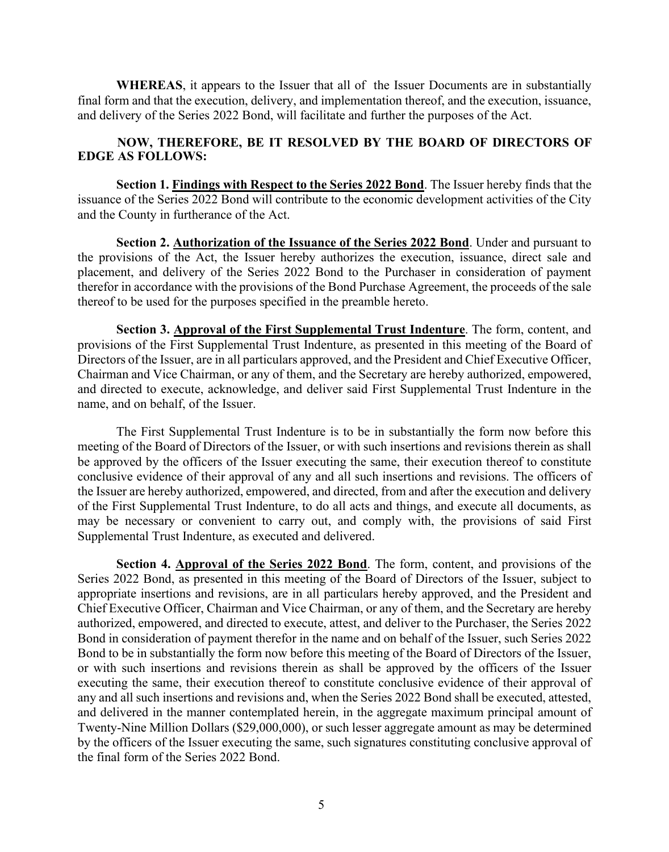**WHEREAS**, it appears to the Issuer that all of the Issuer Documents are in substantially final form and that the execution, delivery, and implementation thereof, and the execution, issuance, and delivery of the Series 2022 Bond, will facilitate and further the purposes of the Act.

## **NOW, THEREFORE, BE IT RESOLVED BY THE BOARD OF DIRECTORS OF EDGE AS FOLLOWS:**

**Section 1. Findings with Respect to the Series 2022 Bond**. The Issuer hereby finds that the issuance of the Series 2022 Bond will contribute to the economic development activities of the City and the County in furtherance of the Act.

**Section 2. Authorization of the Issuance of the Series 2022 Bond**. Under and pursuant to the provisions of the Act, the Issuer hereby authorizes the execution, issuance, direct sale and placement, and delivery of the Series 2022 Bond to the Purchaser in consideration of payment therefor in accordance with the provisions of the Bond Purchase Agreement, the proceeds of the sale thereof to be used for the purposes specified in the preamble hereto.

**Section 3. Approval of the First Supplemental Trust Indenture**. The form, content, and provisions of the First Supplemental Trust Indenture, as presented in this meeting of the Board of Directors of the Issuer, are in all particulars approved, and the President and Chief Executive Officer, Chairman and Vice Chairman, or any of them, and the Secretary are hereby authorized, empowered, and directed to execute, acknowledge, and deliver said First Supplemental Trust Indenture in the name, and on behalf, of the Issuer.

The First Supplemental Trust Indenture is to be in substantially the form now before this meeting of the Board of Directors of the Issuer, or with such insertions and revisions therein as shall be approved by the officers of the Issuer executing the same, their execution thereof to constitute conclusive evidence of their approval of any and all such insertions and revisions. The officers of the Issuer are hereby authorized, empowered, and directed, from and after the execution and delivery of the First Supplemental Trust Indenture, to do all acts and things, and execute all documents, as may be necessary or convenient to carry out, and comply with, the provisions of said First Supplemental Trust Indenture, as executed and delivered.

**Section 4. Approval of the Series 2022 Bond**. The form, content, and provisions of the Series 2022 Bond, as presented in this meeting of the Board of Directors of the Issuer, subject to appropriate insertions and revisions, are in all particulars hereby approved, and the President and Chief Executive Officer, Chairman and Vice Chairman, or any of them, and the Secretary are hereby authorized, empowered, and directed to execute, attest, and deliver to the Purchaser, the Series 2022 Bond in consideration of payment therefor in the name and on behalf of the Issuer, such Series 2022 Bond to be in substantially the form now before this meeting of the Board of Directors of the Issuer, or with such insertions and revisions therein as shall be approved by the officers of the Issuer executing the same, their execution thereof to constitute conclusive evidence of their approval of any and all such insertions and revisions and, when the Series 2022 Bond shall be executed, attested, and delivered in the manner contemplated herein, in the aggregate maximum principal amount of Twenty-Nine Million Dollars (\$29,000,000), or such lesser aggregate amount as may be determined by the officers of the Issuer executing the same, such signatures constituting conclusive approval of the final form of the Series 2022 Bond.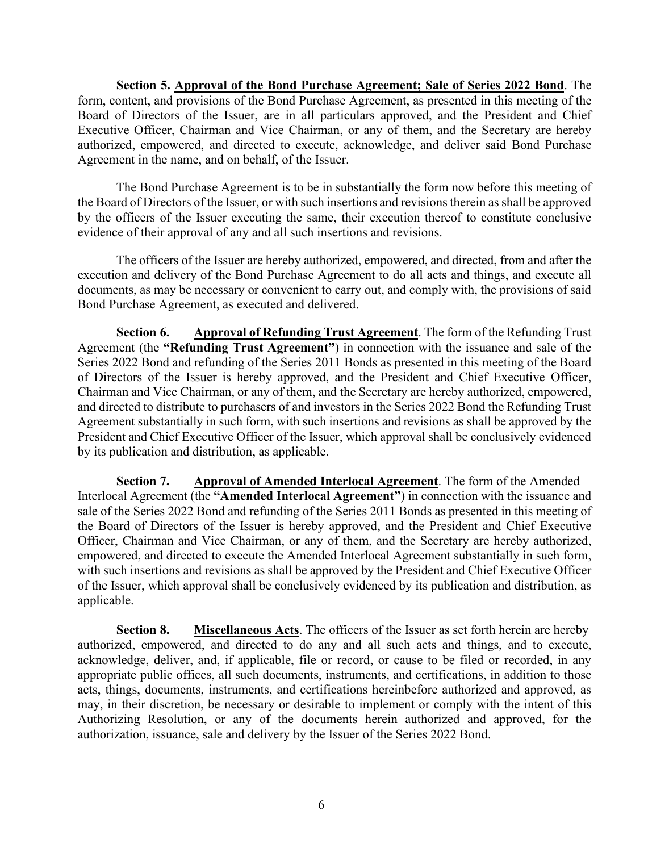**Section 5. Approval of the Bond Purchase Agreement; Sale of Series 2022 Bond**. The form, content, and provisions of the Bond Purchase Agreement, as presented in this meeting of the Board of Directors of the Issuer, are in all particulars approved, and the President and Chief Executive Officer, Chairman and Vice Chairman, or any of them, and the Secretary are hereby authorized, empowered, and directed to execute, acknowledge, and deliver said Bond Purchase Agreement in the name, and on behalf, of the Issuer.

The Bond Purchase Agreement is to be in substantially the form now before this meeting of the Board of Directors of the Issuer, or with such insertions and revisions therein as shall be approved by the officers of the Issuer executing the same, their execution thereof to constitute conclusive evidence of their approval of any and all such insertions and revisions.

The officers of the Issuer are hereby authorized, empowered, and directed, from and after the execution and delivery of the Bond Purchase Agreement to do all acts and things, and execute all documents, as may be necessary or convenient to carry out, and comply with, the provisions of said Bond Purchase Agreement, as executed and delivered.

**Section 6. Approval of Refunding Trust Agreement**. The form of the Refunding Trust Agreement (the **"Refunding Trust Agreement"**) in connection with the issuance and sale of the Series 2022 Bond and refunding of the Series 2011 Bonds as presented in this meeting of the Board of Directors of the Issuer is hereby approved, and the President and Chief Executive Officer, Chairman and Vice Chairman, or any of them, and the Secretary are hereby authorized, empowered, and directed to distribute to purchasers of and investors in the Series 2022 Bond the Refunding Trust Agreement substantially in such form, with such insertions and revisions as shall be approved by the President and Chief Executive Officer of the Issuer, which approval shall be conclusively evidenced by its publication and distribution, as applicable.

**Section 7. Approval of Amended Interlocal Agreement**. The form of the Amended Interlocal Agreement (the **"Amended Interlocal Agreement"**) in connection with the issuance and sale of the Series 2022 Bond and refunding of the Series 2011 Bonds as presented in this meeting of the Board of Directors of the Issuer is hereby approved, and the President and Chief Executive Officer, Chairman and Vice Chairman, or any of them, and the Secretary are hereby authorized, empowered, and directed to execute the Amended Interlocal Agreement substantially in such form, with such insertions and revisions as shall be approved by the President and Chief Executive Officer of the Issuer, which approval shall be conclusively evidenced by its publication and distribution, as applicable.

**Section 8. Miscellaneous Acts**. The officers of the Issuer as set forth herein are hereby authorized, empowered, and directed to do any and all such acts and things, and to execute, acknowledge, deliver, and, if applicable, file or record, or cause to be filed or recorded, in any appropriate public offices, all such documents, instruments, and certifications, in addition to those acts, things, documents, instruments, and certifications hereinbefore authorized and approved, as may, in their discretion, be necessary or desirable to implement or comply with the intent of this Authorizing Resolution, or any of the documents herein authorized and approved, for the authorization, issuance, sale and delivery by the Issuer of the Series 2022 Bond.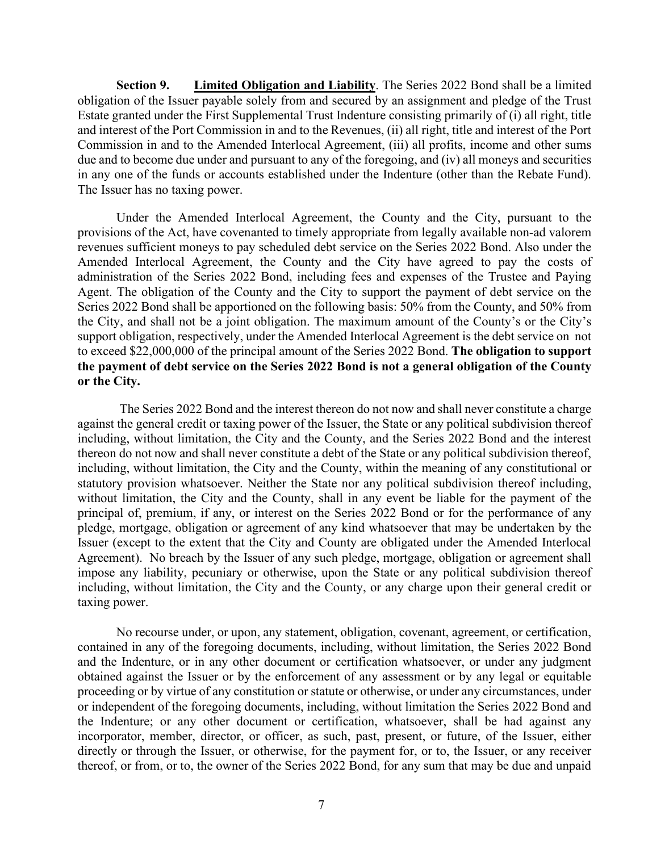**Section 9. Limited Obligation and Liability**. The Series 2022 Bond shall be a limited obligation of the Issuer payable solely from and secured by an assignment and pledge of the Trust Estate granted under the First Supplemental Trust Indenture consisting primarily of (i) all right, title and interest of the Port Commission in and to the Revenues, (ii) all right, title and interest of the Port Commission in and to the Amended Interlocal Agreement, (iii) all profits, income and other sums due and to become due under and pursuant to any of the foregoing, and (iv) all moneys and securities in any one of the funds or accounts established under the Indenture (other than the Rebate Fund). The Issuer has no taxing power.

Under the Amended Interlocal Agreement, the County and the City, pursuant to the provisions of the Act, have covenanted to timely appropriate from legally available non-ad valorem revenues sufficient moneys to pay scheduled debt service on the Series 2022 Bond. Also under the Amended Interlocal Agreement, the County and the City have agreed to pay the costs of administration of the Series 2022 Bond, including fees and expenses of the Trustee and Paying Agent. The obligation of the County and the City to support the payment of debt service on the Series 2022 Bond shall be apportioned on the following basis: 50% from the County, and 50% from the City, and shall not be a joint obligation. The maximum amount of the County's or the City's support obligation, respectively, under the Amended Interlocal Agreement is the debt service on not to exceed \$22,000,000 of the principal amount of the Series 2022 Bond. **The obligation to support the payment of debt service on the Series 2022 Bond is not a general obligation of the County or the City.**

The Series 2022 Bond and the interest thereon do not now and shall never constitute a charge against the general credit or taxing power of the Issuer, the State or any political subdivision thereof including, without limitation, the City and the County, and the Series 2022 Bond and the interest thereon do not now and shall never constitute a debt of the State or any political subdivision thereof, including, without limitation, the City and the County, within the meaning of any constitutional or statutory provision whatsoever. Neither the State nor any political subdivision thereof including, without limitation, the City and the County, shall in any event be liable for the payment of the principal of, premium, if any, or interest on the Series 2022 Bond or for the performance of any pledge, mortgage, obligation or agreement of any kind whatsoever that may be undertaken by the Issuer (except to the extent that the City and County are obligated under the Amended Interlocal Agreement). No breach by the Issuer of any such pledge, mortgage, obligation or agreement shall impose any liability, pecuniary or otherwise, upon the State or any political subdivision thereof including, without limitation, the City and the County, or any charge upon their general credit or taxing power.

No recourse under, or upon, any statement, obligation, covenant, agreement, or certification, contained in any of the foregoing documents, including, without limitation, the Series 2022 Bond and the Indenture, or in any other document or certification whatsoever, or under any judgment obtained against the Issuer or by the enforcement of any assessment or by any legal or equitable proceeding or by virtue of any constitution or statute or otherwise, or under any circumstances, under or independent of the foregoing documents, including, without limitation the Series 2022 Bond and the Indenture; or any other document or certification, whatsoever, shall be had against any incorporator, member, director, or officer, as such, past, present, or future, of the Issuer, either directly or through the Issuer, or otherwise, for the payment for, or to, the Issuer, or any receiver thereof, or from, or to, the owner of the Series 2022 Bond, for any sum that may be due and unpaid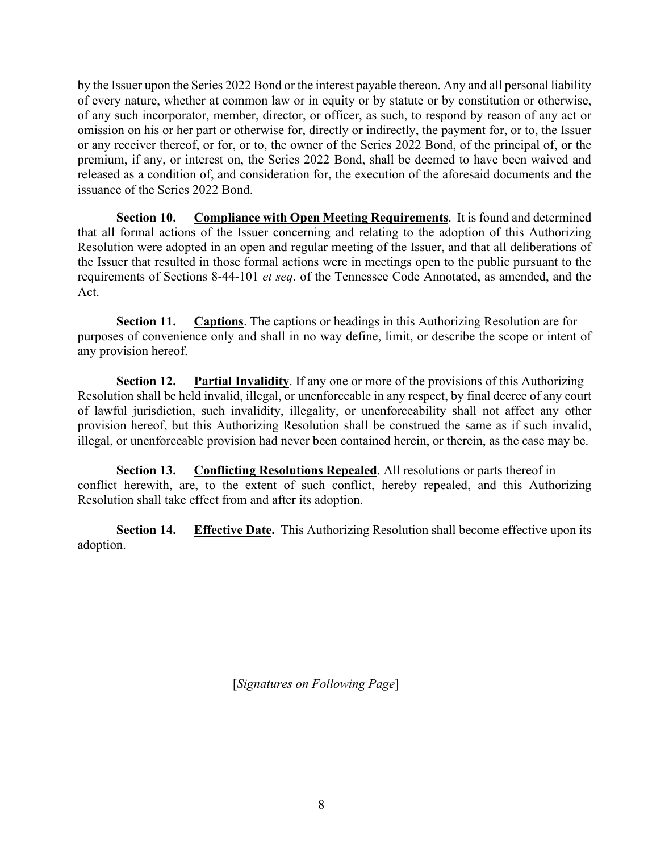by the Issuer upon the Series 2022 Bond or the interest payable thereon. Any and all personal liability of every nature, whether at common law or in equity or by statute or by constitution or otherwise, of any such incorporator, member, director, or officer, as such, to respond by reason of any act or omission on his or her part or otherwise for, directly or indirectly, the payment for, or to, the Issuer or any receiver thereof, or for, or to, the owner of the Series 2022 Bond, of the principal of, or the premium, if any, or interest on, the Series 2022 Bond, shall be deemed to have been waived and released as a condition of, and consideration for, the execution of the aforesaid documents and the issuance of the Series 2022 Bond.

**Section 10.** Compliance with Open Meeting Requirements. It is found and determined that all formal actions of the Issuer concerning and relating to the adoption of this Authorizing Resolution were adopted in an open and regular meeting of the Issuer, and that all deliberations of the Issuer that resulted in those formal actions were in meetings open to the public pursuant to the requirements of Sections 8-44-101 *et seq*. of the Tennessee Code Annotated, as amended, and the Act.

**Section 11. Captions**. The captions or headings in this Authorizing Resolution are for purposes of convenience only and shall in no way define, limit, or describe the scope or intent of any provision hereof.

**Section 12. Partial Invalidity**. If any one or more of the provisions of this Authorizing Resolution shall be held invalid, illegal, or unenforceable in any respect, by final decree of any court of lawful jurisdiction, such invalidity, illegality, or unenforceability shall not affect any other provision hereof, but this Authorizing Resolution shall be construed the same as if such invalid, illegal, or unenforceable provision had never been contained herein, or therein, as the case may be.

**Section 13.** Conflicting Resolutions Repealed. All resolutions or parts thereof in conflict herewith, are, to the extent of such conflict, hereby repealed, and this Authorizing Resolution shall take effect from and after its adoption.

**Section 14.** Effective Date. This Authorizing Resolution shall become effective upon its adoption.

[*Signatures on Following Page*]